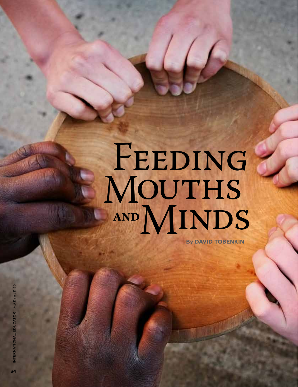# FEEDING<br>MOUTHS **and** MINDS

**By DAVID TOBENKIN**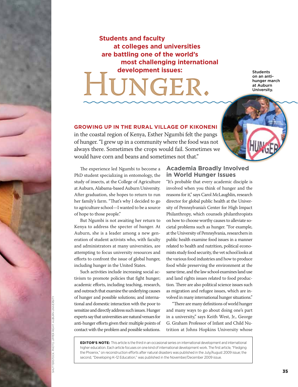# **Students and faculty at colleges and universities are battling one of the world's most challenging international development issues:**<br> **development issues:**<br>
on an antische students<br>
development issues:<br>
on an antische students<br>
dividents<br>
University<br>
University

on an antihunger march at Auburn University.

# **Growing up in the rural village of Kikoneni**

in the coastal region of Kenya, Esther Ngumbi felt the pangs of hunger. "I grew up in a community where the food was not always there. Sometimes the crops would fail. Sometimes we would have corn and beans and sometimes not that."

The experience led Ngumbi to become a PhD student specializing in entomology, the study of insects, at the College of Agriculture at Auburn, Alabama-based Auburn University. After graduation, she hopes to return to run her family's farm. "That's why I decided to go to agriculture school—I wanted to be a source of hope to those people."

But Ngumbi is not awaiting her return to Kenya to address the specter of hunger. At Auburn, she is a leader among a new generation of student activists who, with faculty and administrators at many universities, are attempting to focus university resources and efforts to confront the issue of global hunger, including hunger in the United States.

Such activities include increasing social activism to promote policies that fight hunger; academic efforts, including teaching, research, and outreach that examine the underlying causes of hunger and possible solutions; and international and domestic interaction with the poor to sensitize and directly address such issues. Hunger experts say that universities are natural venues for anti-hunger efforts given their multiple points of contact with the problem and possible solutions.

### **Academia Broadly Involved in World Hunger Issues**

"It's probable that every academic disciple is involved when you think of hunger and the reasons for it," says Carol McLaughlin, research director for global public health at the University of Pennsylvania's Center for High Impact Philanthropy, which counsels philanthropists on how to choose worthy causes to alleviate societal problems such as hunger. "For example, at the University of Pennsylvania, researchers in public health examine food issues in a manner related to health and nutrition, political economists study food security, the vet school looks at the various food industries and how to produce food while preserving the environment at the same time, and the law school examines land use and land rights issues related to food production. There are also political science issues such as migration and refugee issues, which are involved in many international hunger situations."

"There are many definitions of world hunger and many ways to go about doing one's part in a university," says Keith West, Jr., George G. Graham Professor of Infant and Child Nutrition at Johns Hopkins University whose

**EDITOR'S NOTE:** This article is the third in an occasional series on international development and international higher education. Each article focuses on one kind of international development work. The first article, "Fledging the Phoenix," on reconstruction efforts after natural disasters was published in the July/August 2009 issue; the second, "Developing K–12 Education," was published in the November/December 2009 issue.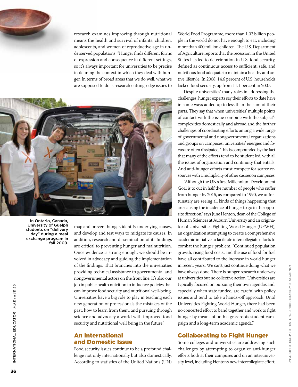research examines improving through nutritional means the health and survival of infants, children, adolescents, and women of reproductive age in underserved populations. "Hunger finds different forms of expression and consequence in different settings, so it's always important for universities to be precise in defining the context in which they deal with hunger. In terms of broad areas that we do well, what we are supposed to do is research cutting-edge issues to



University of Guelph students on "delivery day" during a meal exchange program in fall 2009.

map and prevent hunger, identify underlying causes, and develop and test ways to mitigate its causes. In addition, research and dissemination of its findings are critical to preventing hunger and malnutrition. Once evidence is strong enough, we should be involved in advocacy and guiding the implementation of the findings. That branches into the universities providing technical assistance to governmental and nongovernmental actors on the front line. It's also our job in public health nutrition to influence policies that can improve food security and nutritional well-being. Universities have a big role to play in teaching each new generation of professionals the mistakes of the past, how to learn from them, and pursuing through science and advocacy a world with improved food security and nutritional well being in the future."

### An International and Domestic Issue

Food security issues continue to be a profound challenge not only internationally but also domestically. According to statistics of the United Nations (UN) World Food Programme, more than 1.02 billion people in the world do not have enough to eat, including more than 400 million children. The U.S. Department of Agriculture reports that the recession in the United States has led to deterioration in U.S. food security, defined as continuous access to sufficient, safe, and nutritious food adequate to maintain a healthy and active lifestyle. In 2008, 14.6 percent of U.S. households lacked food security, up from 11.1 percent in 2007.

Despite universities' many roles in addressing the challenges, hunger experts say their efforts to date have in some ways added up to less than the sum of their parts. They say that when universities' multiple points of contact with the issue combine with the subject's complexities domestically and abroad and the further challenges of coordinating efforts among a wide range of governmental and nongovernmental organizations and groups on campuses, universities' energies and focus are often dissipated. This is compounded by the fact that many of the efforts tend to be student led, with all the issues of organization and continuity that entails. And anti-hunger efforts must compete for scarce resources with a multiplicity of other causes on campuses.

"Although the UN's first Millennium Development Goal is to cut in half the number of people who suffer from hunger by 2015, as compared to 1990, we unfortunately are seeing all kinds of things happening that are causing the incidence of hunger to go in the opposite direction," says June Henton, dean of the College of Human Sciences at Auburn University and an originator of Universities Fighting World Hunger (UFWH), an organization attempting to create a comprehensive academic initiative to facilitate intercollegiate efforts to combat the hunger problem. "Continued population growth, rising food costs, and the use of food for fuel have all contributed to the increase in world hunger in recent years. We can't just continue doing what we have always done. There is hunger research underway at universities but no collective action. Universities are typically focused on pursuing their own agendas and, especially when state funded, are careful with policy issues and tend to take a hands-off approach. Until Universities Fighting World Hunger, there had been no concerted effort to band together and work to fight hunger by means of both a grassroots student campaign and a long-term academic agenda." Fracent years. We can't just continue doing what we<br>have always done. There is hunger research underway<br>at universities but no collective action. Universities are<br>typically focused on pursuing their own agendas and,<br>espec

# Collaborating to Fight Hunger

Some colleges and universities are addressing such challenges by attempting to organize anti-hunger efforts both at their campuses and on an interuniver-

ator M AR+APR .10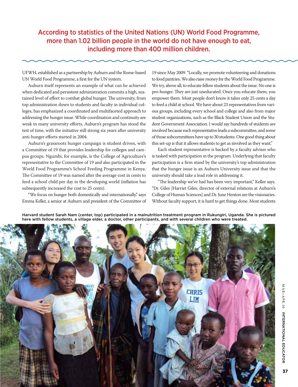According to statistics of the United Nations (UN) World Food Programme, more than 1.02 billion people in the world do not have enough to eat, including more than 400 million children.

UFWH, established as a partnership by Auburn and the Rome-based UN World Food Programme, a first for the UN system.

Auburn itself represents an example of what can be achieved when dedicated and persistent administration commits a high, sustained level of effort to combat global hunger. The university, from top administration down to students and faculty in individual colleges, has emphasized a coordinated and multifaceted approach to addressing the hunger issue. While coordination and continuity are weak in many university efforts, Auburn's program has stood the test of time, with the initiative still strong six years after university anti-hunger efforts started in 2004.

Auburn's grassroots hunger campaign is student driven, with a Committee of 19 that provides leadership for colleges and campus groups. Ngumbi, for example, is the College of Agriculture's representative to the Committee of 19 and also participated in the World Food Programme's School Feeding Programme in Kenya. The Committee of 19 was named after the average cost in cents to feed a school child per day in the developing world (inflation has subsequently increased the cost to 25 cents).

"We focus on hunger both domestically and internationally," says Emma Keller, a senior at Auburn and president of the Committee of 19 since May 2009. "Locally, we promote volunteering and donations to food pantries. We also raise money for the World Food Programme. We try, above all, to educate fellow students about the issue. No one is pro-hunger. They are just uneducated. Once you educate them, you empower them. Most people don't know it takes only 25 cents a day to feed a child at school. We have about 23 representatives from various groups, including every school and college and also from major student organizations, such as the Black Student Union and the Student Government Association. I would say hundreds of students are involved because each representative leads a subcommittee, and some of those subcommittees have up to 30 students. One good thing about this set-up is that it allows students to get as involved as they want."

Each student representative is backed by a faculty adviser who is tasked with participation in the program. Underlying that faculty participation is a firm stand by the university's top administration that the hunger issue is an Auburn University issue and that the university should take a lead role in addressing it.

"The leadership we've had has been very important," Keller says. "Dr. Giles [Harriet Giles, director of external relations at Auburn's College of Human Sciences] and Dr. June Henton are the visionaries. Without faculty support, it is hard to get things done. Most students

Harvard student Sarah Nam (center, top) participated in a malnutrition treatment program in Rukungiri, Uganda. She is pictured here with fellow students, a village elder, a doctor, other participants, and with several children who were treated.



37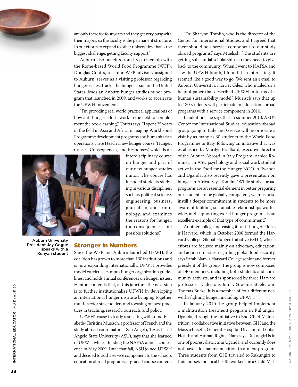

are only there for four years and they get very busy with their majors, so the faculty is the permanent structure. In our efforts to expand to other universities, that is the biggest challenge: getting faculty support."

Auburn also benefits from its partnership with the Rome-based World Food Programme (WFP). Douglas Coutts, a senior WFP advisory assigned to Auburn, serves as a visiting professor regarding hunger issues, tracks the hunger issue in the United States, leads an Auburn hunger studies minor program that launched in 2009, and works to accelerate the UFWH movement.

"I'm providing real world practical applications of how anti-hunger efforts work in the field to complement the book learning," Coutts says. "I spent 25 years in the field in Asia and Africa managing World Food Programme development programs and humanitarian operations. Here I teach a new hunger course, 'Hunger: Causes, Consequences, and Responses,' which is an



Auburn University President Jay Gogue speaks with a Kenyan student interdisciplinary course on hunger and part of our new hunger studies minor. The course has included students studying in various disciplines, such as political science, engineering, business, journalism, and criminology, and examines the reasons for hunger, the consequences, and possible solutions."

#### Stronger in Numbers

Since the WFP and Auburn launched UFWH, the coalition has grown to more than 130 institutions and is now expanding internationally. UFWH provides model curricula, campus hunger organization guidelines, and holds annual conferences on hunger issues. Henton contends that, at this juncture, the next step is to further institutionalize UFWH by developing an international hunger institute bringing together multi–sector stakeholders and focusing on best practices in teaching, research, outreach, and policy.

UFWH's cause is clearly resonating with some. Elisabeth-Christine Muelsch, a professor of French and the study abroad coordinator at San Angelo, Texas-based Angelo State University (ASU), says that she learned of UFWH while attending the NAFSA annual conference in May 2009. Later that fall, ASU joined UFWH and decided to add a service component to the school's education abroad programs as graded course content.

"Dr. Sharynn Tomlin, who is the director of the Center for International Studies, and I agreed that there should be a service component to our study abroad programs," says Muelsch. "The students are getting substantial scholarships so they need to give back to the community. When I went to NAFSA and saw the UFWH booth, I found it so interesting. It seemed like a good way to go. We sent an e-mail to Auburn University's Harriet Giles, who mailed us a helpful paper that described UFWH in terms of a human sustainability model." Muelsch says that up to 130 students will participate in education abroad programs with a service component in 2010.

In addition, she says that in summer 2010, ASU's Center for International Studies' education abroad group going to Italy and Greece will incorporate a visit by as many as 30 students to the World Food Programme in Italy, following an initiative that was established by Marilyn Bradbard, executive director of the Auburn Abroad in Italy Program. Ashlee Romines, an ASU psychology and social work student active in the Food for the Hungry NGO in Rwanda and Uganda, also recently gave a presentation on hunger in Africa. Says Tomlin: "While study abroad programs are an essential element in better preparing our students to be globally competent, we must also instill a deeper commitment in students to be more aware of building sustainable relationships worldwide, and supporting world hunger programs is an excellent example of that type of commitment."

Another college increasing its anti-hunger efforts is Harvard, which in October 2008 formed the Harvard College Global Hunger Initiative (GHI), whose efforts are focused mainly on advocacy, education, and action on issues regarding global food security, says Sarah Nam, a Harvard College senior and former president of the group. The group is now composed of 140 members, including both students and community activists, and is sponsored by three Harvard professors, Calestous Juma, Graeme Steele, and Thomas Burke. It is a member of four different networks fighting hunger, including UFWH.

In January 2010 the group helped implement a malnutrition treatment program in Rukungiri, Uganda, through the Initiative to End Child Malnutrition, a collaborative initiative between GHI and the Massachusetts General Hospital Division of Global Health and Human Rights, Nam says. Rukungiri is in one of poorest districts in Uganda, and currently does not have a formal malnutrition treatment program. Three students from GHI traveled to Rukungiri to Thomas burke. It is a member of iour dimerent neuvorks fighting hunger, including UFWH.<br>
In January 2010 the group helped implement<br>
a malnutrition treatment program in Rukungiri,<br>
Uganda, through the Initiative to End Ch

International Educ

INTERNATIONAL EDUCATOR MAR+APR.10

ator M AR+APR .10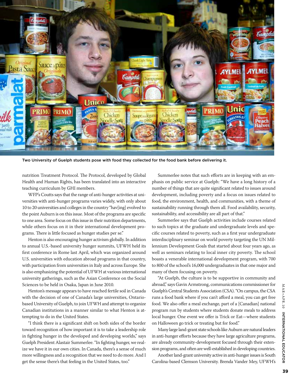

Two University of Guelph students pose with food they collected for the food bank before delivering it.

nutrition Treatment Protocol. The Protocol, developed by Global Health and Human Rights, has been translated into an interactive teaching curriculum by GHI members.

WFP's Coutts says that the range of anti-hunger activities at universities with anti-hunger programs varies widely, with only about 10 to 20 universities and colleges in the country "hav[ing] evolved to the point Auburn is on this issue. Most of the programs are specific to one area. Some focus on this issue in their nutrition departments, while others focus on it in their international development programs. There is little focused as hunger studies per se."

Henton is also encouraging hunger activism globally. In addition to annual U.S.-based university hunger summits, UFWH held its first conference in Rome last April, which was organized around U.S. universities with education abroad programs in that country, with participation from universities in Italy and across Europe. She is also emphasizing the potential of UFWH at various international university gatherings, such as the Asian Conference on the Social Sciences to be held in Osaka, Japan in June 2010.

Henton's message appears to have reached fertile soil in Canada with the decision of one of Canada's large universities, Ontariobased University of Guelph, to join UFWH and attempt to organize Canadian institutions in a manner similar to what Henton is attempting to do in the United States.

"I think there is a significant shift on both sides of the border toward recognition of how important it is to take a leadership role in fighting hunger in the developed and developing worlds," says Guelph President Alastair Summerlee. "In fighting hunger, we realize we have it in our own cities. In Canada, there's a sense of much more willingness and a recognition that we need to do more. And I get the sense there's that feeling in the United States, too."

Summerlee notes that such efforts are in keeping with an emphasis on public service at Guelph: "We have a long history of a number of things that are quite significant related to issues around development, including poverty and a focus on issues related to food, the environment, health, and communities, with a theme of sustainability running through them all. Food availability, security, sustainability, and accessibility are all part of that."

Summerlee says that Guelph activities include courses related to such topics at the graduate and undergraduate levels and specific courses related to poverty, such as a first year undergraduate interdisciplinary seminar on world poverty targeting the UN Millennium Development Goals that started about four years ago, as well as seminars relating to local inner city poverty. The school boasts a venerable international development program, with 700 to 800 of the school's 16,000 undergraduates in that one major and many of them focusing on poverty.

"At Guelph, the culture is to be supportive in community and abroad," says Gavin Armstrong, communications commissioner for Guelph's Central Students Association (CSA). "On campus, the CSA runs a food bank where if you can't afford a meal, you can get free food. We also offer a meal exchange, part of a [Canadian] national program run by students where students donate meals to address local hunger. One event we offer is Trick or Eat—where students on Halloween go trick or treating but for food."

Many large land-grant state schools like Auburn are natural leaders in anti-hunger efforts because they have large agriculture programs, are already community-development focused through their extension programs, and often are well-established in developing countries.

Another land-grant university active in anti-hunger issues is South Carolina-based Clemson University. Brenda Vander Mey, UFWH's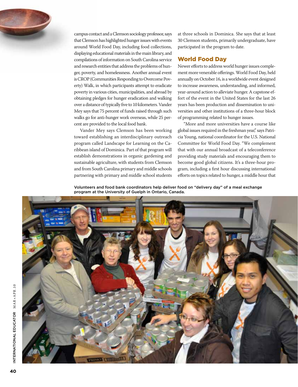

campus contact and a Clemson sociology professor, says that Clemson has highlighted hunger issues with events around World Food Day, including food collections, displaying educational materials in the main library, and compilations of information on South Carolina service and research entities that address the problems of hunger, poverty, and homelessness. Another annual event is CROP (Communities Responding to Overcome Poverty) Walk, in which participants attempt to eradicate poverty in various cities, municipalities, and abroad by obtaining pledges for hunger eradication and walking over a distance of typically five to 10 kilometers. Vander Mey says that 75 percent of funds raised through such walks go for anti-hunger work overseas, while 25 percent are provided to the local food bank.

Vander Mey says Clemson has been working toward establishing an interdisciplinary outreach program called Landscape for Learning on the Caribbean island of Dominica. Part of that program will establish demonstrations in organic gardening and sustainable agriculture, with students from Clemson and from South Carolina primary and middle schools partnering with primary and middle school students at three schools in Dominica. She says that at least 30 Clemson students, primarily undergraduate, have participated in the program to date.

## World Food Day

Newer efforts to address world hunger issues complement more venerable offerings. World Food Day, held annually on October 16, is a worldwide event designed to increase awareness, understanding, and informed, year-around action to alleviate hunger. A capstone effort of the event in the United States for the last 26 years has been production and dissemination to universities and other institutions of a three-hour block of programming related to hunger issues.

"More and more universities have a course like global issues required in the freshman year," says Patricia Young, national coordinator for the U.S. National Committee for World Food Day. "We complement that with our annual broadcast of a teleconference providing study materials and encouraging them to become good global citizens. It's a three-hour program, including a first hour discussing international efforts on topics related to hunger, a middle hour that

Volunteers and food bank coordinators help deliver food on "delivery day" of a meal exchange program at the University of Guelph in Ontario, Canada.

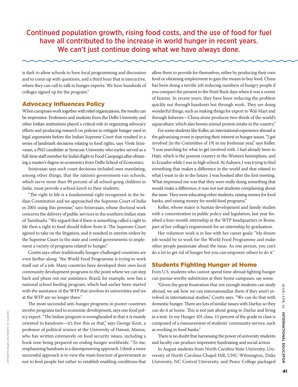Continued population growth, rising food costs, and the use of food for fuel have all contributed to the increase in world hunger in recent years. We can't just continue doing what we have always done.

is dark to allow schools to have local programming and discussion and to come up with questions, and a third hour that is interactive, where they can call to talk to hunger experts. We have hundreds of colleges signed up for the program."

#### Advocacy Influences Policy

When campuses work together with relief organizations, the results can be impressive. Professors and students from the Delhi University and other Indian institutions played a critical role in organizing advocacy efforts and producing research on policies to mitigate hunger used in legal arguments before the Indian Supreme Court that resulted in a series of landmark decisions relating to food rights, says Vivek Srinivasan, a PhD candidate at Syracuse University who earlier served as a full-time staff member for India's Right to Food Campaign after obtaining a master's degree in economics from Delhi School of Economics.

Srinivasan says such court decisions included ones mandating, among other things, that the nation's government-run schools, which serve more than 90 percent of all school-going children in India, must provide a school lunch to their students.

"The right to life is a fundamental right recognized in the Indian Constitution and we approached the Supreme Court of India in 2001 using this premise," says Srinivasan, whose doctoral work concerns the delivery of public services in the southern Indian state of Tamilnadu. "We argued that if there is something called a right to life then a right to food should follow from it. The Supreme Court agreed to take on the litigation, and it resulted in interim orders by the Supreme Court to the state and central governments to implement a variety of programs related to hunger."

Coutts says other traditionally hunger-challenged countries are even farther along: "the World Food Programme is trying to work itself out of a job. Many countries have developed their own local community development programs to the point where we can step back and phase out our assistance. Brazil, for example, now has a national school feeding program, which had earlier been started with the assistance of the WFP that involves its universities and we at the WFP are no longer there."

The most successful anti-hunger programs in poorer countries involve programs tied to economic development, says one food policy expert. "The Indian program is wrongheaded in that it is mainly oriented to handouts—it's free this or that," says George Kent, a professor of political science at the University of Hawaii, Manoa, who has written extensively on food security issues, including a book now being prepared on ending hunger worldwide. "To me, emphasizing handouts is a disempowering approach. I think a more successful approach is to view the main function of government as not to feed people but rather to establish enabling conditions that

Opposite page: university of guelph

OPPOSITE PAGE: UNIVERSITY OF GUELPH

allow them to provide for themselves, either by producing their own food or obtaining employment to gain the means to buy food. China has been doing a terrific job reducing numbers of hungry people if you compare the present to the Pearl Buck days when it was a center of famine. In recent years, they have been reducing the problem quickly not through handouts but through work. They are doing wonderful things, such as making things for export to Wal-Mart and through fisheries—China alone produces two-thirds of the world's aquaculture, which also boosts animal protein intake in the country."

For some students like Keller, an international experience abroad is the galvanizing event in spurring their interest in hunger issues. "I got involved [in the Committee of 19] in my freshman year," says Keller. "I was searching for what to get involved with. I had already been to Haiti, which is the poorest country in the Western hemisphere, and to Ecuador while I was in high school. At Auburn, I was trying to find something that makes a difference in the world and that related to what I want to do in the future. I was hooked after the first meeting. What impressed me was that they were really doing something that would make a difference; it was not just students complaining about the issue. They were educating other students, raising money for food banks, and raising money for world food programs."

Keller, whose major is human development and family studies with a concentration in public policy and legislation, last year finished a four-month internship at the WFP headquarters in Rome, part of her college's requirement for an internship by graduation.

Her volunteer work is in line with her career goals: "My dream job would be to work for the World Food Programme and make other people passionate about the issue. As one person, you can't do a lot to get rid of hunger but you can empower others to do it."

#### Students Fighting Hunger at Home

Even U.S. students who cannot spend time abroad fighting hunger can pursue worthy substitutes at their home campuses, say some.

"Given the great frustration that not enough students can study abroad, we ask how we can internationalize them if they aren't involved in international studies," Coutts says. "We can do that with domestic hunger. There are lots of similar issues with Darfur, so they can do it at home. This is not just about going to Darfur and living in a tent. In my Hunger 101 class, 15 percent of the grade in class is composed of a measurement of students' community service, such as working in food banks."

There is no doubt that harnessing the power of university students and faculty can produce impressive fundraising and social action.

In August students from North Carolina State University, University of North Carolina-Chapel Hill, UNC-Wilmington, Duke University, NC Central University, and Peace College packaged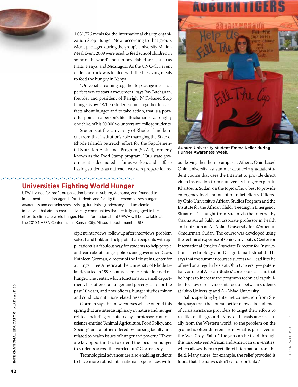

1,031,776 meals for the international charity organization Stop Hunger Now, according to that group. Meals packaged during the group's University Million Meal Event 2009 were used to feed school children in some of the world's most impoverished areas, such as Haiti, Kenya, and Nicaragua. As the UNC-CH event ended, a truck was loaded with the lifesaving meals to feed the hungry in Kenya.

"Universities coming together to package meals is a perfect way to start a movement," says Ray Buchanan, founder and president of Raleigh, N.C.-based Stop Hunger Now. "When students come together to learn facts about hunger and to take action, that is a powerful point in a person's life." Buchanan says roughly one third of his 50,000 volunteers are college students.

Students at the University of Rhode Island benefit from that institution's role managing the State of Rhode Island's outreach effort for the Supplemental Nutrition Assistance Program (SNAP), formerly known as the Food Stamp program. "Our state government is decimated as far as workers and staff, so having students as outreach workers prepare for re-

# **Universities Fighting World Hunger**

UFWH, a not-for-profit organization based in Auburn, Alabama, was founded to implement an action agenda for students and faculty that encompasses hunger awareness and consciousness-raising, fundraising, advocacy, and academic initiatives that aim to create university communities that are fully engaged in the effort to eliminate world hunger. More information about UFWH will be available at the 2010 NAFSA Conference in Kansas City, Missouri, booth number 518.

> cipient interviews, follow up after interviews, problem solve, hand hold, and help potential recipients with applications is a fabulous way for students to help people and learn about hunger policies and government," says Kathleen Gorman, director of the Feinstein Center for a Hunger Free America at the University of Rhode Island, started in 1999 as an academic center focused on hunger. The center, which functions as a small department, has offered a hunger and poverty class for the past 10 years, and now offers a hunger studies minor and conducts nutrition-related research.

> Gorman says that new courses will be offered this spring that are interdisciplinary in nature and hunger related, including one offered by a professor in animal science entitled "Animal Agriculture, Food Policy, and Society" and another offered by nursing faculty and related to health issues of hunger and poverty. "These are key opportunities to extend the focus on hunger to students across the curriculum," Gorman says.

> Technological advances are also enabling students to have more robust international experiences with-



Auburn University student Emma Keller during Hunger Awareness Week.

out leaving their home campuses. Athens, Ohio-based Ohio University last summer debuted a graduate student course that uses the Internet to provide direct video instruction from a university hunger expert in Khartoum, Sudan, on the topic of how best to provide emergency food and nutrition relief efforts. Offered by Ohio University's African Studies Program and the Institute for the African Child, "Feeding in Emergency Situations" is taught from Sudan via the Internet by Osama Awad Salih, an associate professor in health and nutrition at Al-Ahfad University for Women in Omdurman, Sudan. The course was developed using the technical expertise of Ohio University's Center for International Studies Associate Director for Instructional Technology and Design Ismail Elmahdi. He says that the summer course's success will lead it to be offered on a regular basis at Ohio University— potentially as one of African Studies' core courses—and that he hopes to increase the program's technical capabilities to allow direct video interaction between students at Ohio University and Al-Ahfad University.

Salih, speaking by Internet connection from Sudan, says that the course better allows its audience of crisis assistance providers to target their efforts to realities on the ground. "Most of the assistance is usually from the Western world, so the problem on the ground is often different from what is perceived in the West," says Salih. "The gap can be fixed through this link between African and American universities, which allows them to get direct information from the field. Many times, for example, the relief provided is foods that the natives don't eat or don't like."

International Educ

INTERNATIONAL EDUCATOR MAR+APR.10

ator M AR+APR .10